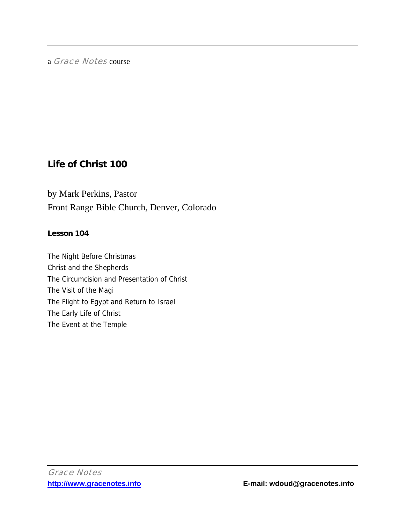# a Grace Notes course

# **Life of Christ 100**

by Mark Perkins, Pastor Front Range Bible Church, Denver, Colorado

# **Lesson 104**

The Night Before Christmas Christ and the Shepherds The Circumcision and Presentation of Christ The Visit of the Magi The Flight to Egypt and Return to Israel The Early Life of Christ The Event at the Temple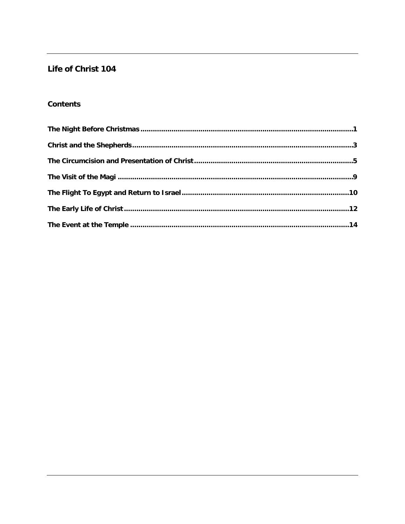# Life of Christ 104

# **Contents**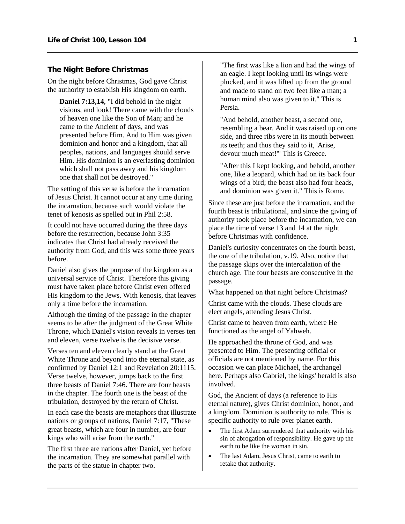## <span id="page-2-0"></span>**The Night Before Christmas**

On the night before Christmas, God gave Christ the authority to establish His kingdom on earth.

**Daniel 7:13,14**, "I did behold in the night visions, and look! There came with the clouds of heaven one like the Son of Man; and he came to the Ancient of days, and was presented before Him. And to Him was given dominion and honor and a kingdom, that all peoples, nations, and languages should serve Him. His dominion is an everlasting dominion which shall not pass away and his kingdom one that shall not be destroyed."

The setting of this verse is before the incarnation of Jesus Christ. It cannot occur at any time during the incarnation, because such would violate the tenet of kenosis as spelled out in Phil 2:58.

It could not have occurred during the three days before the resurrection, because John 3:35 indicates that Christ had already received the authority from God, and this was some three years before.

Daniel also gives the purpose of the kingdom as a universal service of Christ. Therefore this giving must have taken place before Christ even offered His kingdom to the Jews. With kenosis, that leaves only a time before the incarnation.

Although the timing of the passage in the chapter seems to be after the judgment of the Great White Throne, which Daniel's vision reveals in verses ten and eleven, verse twelve is the decisive verse.

Verses ten and eleven clearly stand at the Great White Throne and beyond into the eternal state, as confirmed by Daniel 12:1 and Revelation 20:1115. Verse twelve, however, jumps back to the first three beasts of Daniel 7:46. There are four beasts in the chapter. The fourth one is the beast of the tribulation, destroyed by the return of Christ.

In each case the beasts are metaphors that illustrate nations or groups of nations, Daniel 7:17, "These great beasts, which are four in number, are four kings who will arise from the earth."

The first three are nations after Daniel, yet before the incarnation. They are somewhat parallel with the parts of the statue in chapter two.

"The first was like a lion and had the wings of an eagle. I kept looking until its wings were plucked, and it was lifted up from the ground and made to stand on two feet like a man; a human mind also was given to it." This is Persia.

"And behold, another beast, a second one, resembling a bear. And it was raised up on one side, and three ribs were in its mouth between its teeth; and thus they said to it, 'Arise, devour much meat!'" This is Greece.

"After this I kept looking, and behold, another one, like a leopard, which had on its back four wings of a bird; the beast also had four heads, and dominion was given it." This is Rome.

Since these are just before the incarnation, and the fourth beast is tribulational, and since the giving of authority took place before the incarnation, we can place the time of verse 13 and 14 at the night before Christmas with confidence.

Daniel's curiosity concentrates on the fourth beast, the one of the tribulation, v.19. Also, notice that the passage skips over the intercalation of the church age. The four beasts are consecutive in the passage.

What happened on that night before Christmas?

Christ came with the clouds. These clouds are elect angels, attending Jesus Christ.

Christ came to heaven from earth, where He functioned as the angel of Yahweh.

He approached the throne of God, and was presented to Him. The presenting official or officials are not mentioned by name. For this occasion we can place Michael, the archangel here. Perhaps also Gabriel, the kings' herald is also involved.

God, the Ancient of days (a reference to His eternal nature), gives Christ dominion, honor, and a kingdom. Dominion is authority to rule. This is specific authority to rule over planet earth.

- The first Adam surrendered that authority with his sin of abrogation of responsibility. He gave up the earth to be like the woman in sin.
- The last Adam, Jesus Christ, came to earth to retake that authority.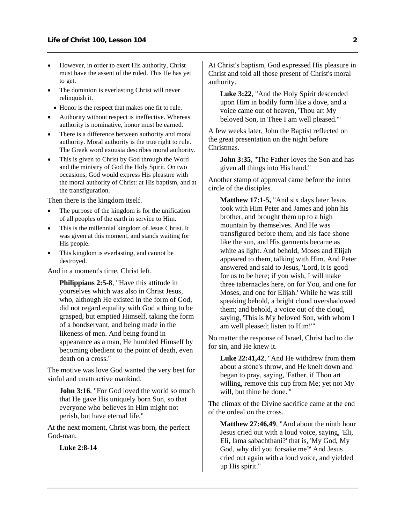- However, in order to exert His authority, Christ must have the assent of the ruled. This He has yet to get.
- The dominion is everlasting Christ will never relinquish it.
- Honor is the respect that makes one fit to rule.
- Authority without respect is ineffective. Whereas authority is nominative, honor must be earned.
- There is a difference between authority and moral authority. Moral authority is the true right to rule. The Greek word exousia describes moral authority.
- This is given to Christ by God through the Word and the ministry of God the Holy Spirit. On two occasions, God would express His pleasure with the moral authority of Christ: at His baptism, and at the transfiguration.

Then there is the kingdom itself.

- The purpose of the kingdom is for the unification of all peoples of the earth in service to Him.
- This is the millennial kingdom of Jesus Christ. It was given at this moment, and stands waiting for His people.
- This kingdom is everlasting, and cannot be destroyed.

And in a moment's time, Christ left.

**Philippians 2:5-8**, "Have this attitude in yourselves which was also in Christ Jesus, who, although He existed in the form of God, did not regard equality with God a thing to be grasped, but emptied Himself, taking the form of a bondservant, and being made in the likeness of men. And being found in appearance as a man, He humbled Himself by becoming obedient to the point of death, even death on a cross."

The motive was love God wanted the very best for sinful and unattractive mankind.

**John 3:16.** "For God loved the world so much that He gave His uniquely born Son, so that everyone who believes in Him might not perish, but have eternal life."

At the next moment, Christ was born, the perfect God-man.

**Luke 2:8-14**

At Christ's baptism, God expressed His pleasure in Christ and told all those present of Christ's moral authority.

**Luke 3:22**, "And the Holy Spirit descended upon Him in bodily form like a dove, and a voice came out of heaven, 'Thou art My beloved Son, in Thee I am well pleased.'"

A few weeks later, John the Baptist reflected on the great presentation on the night before Christmas.

**John 3:35**, "The Father loves the Son and has given all things into His hand."

Another stamp of approval came before the inner circle of the disciples.

**Matthew 17:1-5,** "And six days later Jesus took with Him Peter and James and john his brother, and brought them up to a high mountain by themselves. And He was transfigured before them; and his face shone like the sun, and His garments became as white as light. And behold, Moses and Elijah appeared to them, talking with Him. And Peter answered and said to Jesus, 'Lord, it is good for us to be here; if you wish, I will make three tabernacles here, on for You, and one for Moses, and one for Elijah.' While he was still speaking behold, a bright cloud overshadowed them; and behold, a voice out of the cloud, saying, 'This is My beloved Son, with whom I am well pleased; listen to Him!'"

No matter the response of Israel, Christ had to die for sin, and He knew it.

**Luke 22:41,42**, "And He withdrew from them about a stone's throw, and He knelt down and began to pray, saying, 'Father, if Thou art willing, remove this cup from Me; yet not My will, but thine be done.'"

The climax of the Divine sacrifice came at the end of the ordeal on the cross.

**Matthew 27:46,49**, "And about the ninth hour Jesus cried out with a loud voice, saying, 'Eli, Eli, lama sabachthani?' that is, 'My God, My God, why did you forsake me?' And Jesus cried out again with a loud voice, and yielded up His spirit."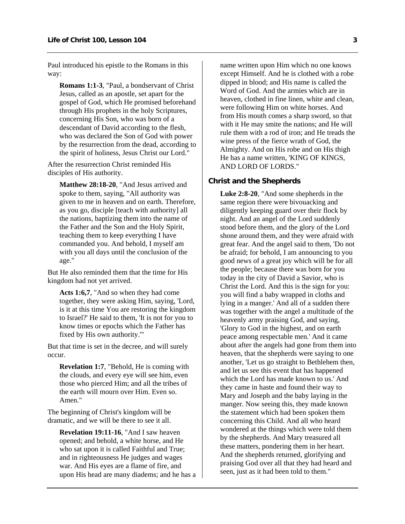<span id="page-4-0"></span>Paul introduced his epistle to the Romans in this way:

**Romans 1:1-3**, "Paul, a bondservant of Christ Jesus, called as an apostle, set apart for the gospel of God, which He promised beforehand through His prophets in the holy Scriptures, concerning His Son, who was born of a descendant of David according to the flesh, who was declared the Son of God with power by the resurrection from the dead, according to the spirit of holiness, Jesus Christ our Lord."

After the resurrection Christ reminded His disciples of His authority.

**Matthew 28:18-20**, "And Jesus arrived and spoke to them, saying, "All authority was given to me in heaven and on earth. Therefore, as you go, disciple [teach with authority] all the nations, baptizing them into the name of the Father and the Son and the Holy Spirit, teaching them to keep everything I have commanded you. And behold, I myself am with you all days until the conclusion of the age."

But He also reminded them that the time for His kingdom had not yet arrived.

**Acts 1:6,7**, "And so when they had come together, they were asking Him, saying, 'Lord, is it at this time You are restoring the kingdom to Israel?' He said to them, 'It is not for you to know times or epochs which the Father has fixed by His own authority.'"

But that time is set in the decree, and will surely occur.

**Revelation 1:7**, "Behold, He is coming with the clouds, and every eye will see him, even those who pierced Him; and all the tribes of the earth will mourn over Him. Even so. Amen."

The beginning of Christ's kingdom will be dramatic, and we will be there to see it all.

**Revelation 19:11-16**, "And I saw heaven opened; and behold, a white horse, and He who sat upon it is called Faithful and True; and in righteousness He judges and wages war. And His eyes are a flame of fire, and upon His head are many diadems; and he has a name written upon Him which no one knows except Himself. And he is clothed with a robe dipped in blood; and His name is called the Word of God. And the armies which are in heaven, clothed in fine linen, white and clean, were following Him on white horses. And from His mouth comes a sharp sword, so that with it He may smite the nations; and He will rule them with a rod of iron; and He treads the wine press of the fierce wrath of God, the Almighty. And on His robe and on His thigh He has a name written, 'KING OF KINGS, AND LORD OF LORDS."

#### **Christ and the Shepherds**

**Luke 2:8-20**, "And some shepherds in the same region there were bivouacking and diligently keeping guard over their flock by night. And an angel of the Lord suddenly stood before them, and the glory of the Lord shone around them, and they were afraid with great fear. And the angel said to them, 'Do not be afraid; for behold, I am announcing to you good news of a great joy which will be for all the people; because there was born for you today in the city of David a Savior, who is Christ the Lord. And this is the sign for you: you will find a baby wrapped in cloths and lying in a manger.' And all of a sudden there was together with the angel a multitude of the heavenly army praising God, and saying, 'Glory to God in the highest, and on earth peace among respectable men.' And it came about after the angels had gone from them into heaven, that the shepherds were saying to one another, 'Let us go straight to Bethlehem then, and let us see this event that has happened which the Lord has made known to us.' And they came in haste and found their way to Mary and Joseph and the baby laying in the manger. Now seeing this, they made known the statement which had been spoken them concerning this Child. And all who heard wondered at the things which were told them by the shepherds. And Mary treasured all these matters, pondering them in her heart. And the shepherds returned, glorifying and praising God over all that they had heard and seen, just as it had been told to them."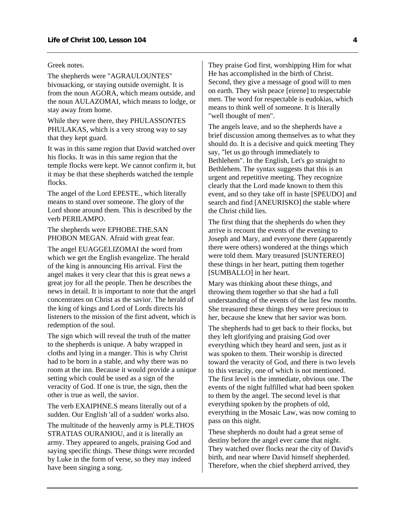#### Greek notes.

The shepherds were "AGRAULOUNTES" bivouacking, or staying outside overnight. It is from the noun AGORA, which means outside, and the noun AULAZOMAI, which means to lodge, or stay away from home.

While they were there, they PHULASSONTES PHULAKAS, which is a very strong way to say that they kept guard.

It was in this same region that David watched over his flocks. It was in this same region that the temple flocks were kept. We cannot confirm it, but it may be that these shepherds watched the temple flocks.

The angel of the Lord EPESTE., which literally means to stand over someone. The glory of the Lord shone around them. This is described by the verb PERILAMPO.

The shepherds were EPHOBE.THE.SAN PHOBON MEGAN. Afraid with great fear.

The angel EUAGGELIZOMAI the word from which we get the English evangelize. The herald of the king is announcing His arrival. First the angel makes it very clear that this is great news a great joy for all the people. Then he describes the news in detail. It is important to note that the angel concentrates on Christ as the savior. The herald of the king of kings and Lord of Lords directs his listeners to the mission of the first advent, which is redemption of the soul.

The sign which will reveal the truth of the matter to the shepherds is unique. A baby wrapped in cloths and lying in a manger. This is why Christ had to be born in a stable, and why there was no room at the inn. Because it would provide a unique setting which could be used as a sign of the veracity of God. If one is true, the sign, then the other is true as well, the savior.

The verb EXAIPHNE.S means literally out of a sudden. Our English 'all of a sudden' works also.

The multitude of the heavenly army is PLE.THOS STRATIAS OURANIOU, and it is literally an army. They appeared to angels, praising God and saying specific things. These things were recorded by Luke in the form of verse, so they may indeed have been singing a song.

They praise God first, worshipping Him for what He has accomplished in the birth of Christ. Second, they give a message of good will to men on earth. They wish peace [eirene] to respectable men. The word for respectable is eudokias, which means to think well of someone. It is literally "well thought of men".

The angels leave, and so the shepherds have a brief discussion among themselves as to what they should do. It is a decisive and quick meeting They say, "let us go through immediately to Bethlehem". In the English, Let's go straight to Bethlehem. The syntax suggests that this is an urgent and repetitive meeting. They recognize clearly that the Lord made known to them this event, and so they take off in haste [SPEUDO] and search and find [ANEURISKO] the stable where the Christ child lies.

The first thing that the shepherds do when they arrive is recount the events of the evening to Joseph and Mary, and everyone there (apparently there were others) wondered at the things which were told them. Mary treasured [SUNTEREO] these things in her heart, putting them together [SUMBALLO] in her heart.

Mary was thinking about these things, and throwing them together so that she had a full understanding of the events of the last few months. She treasured these things they were precious to her, because she knew that her savior was born.

The shepherds had to get back to their flocks, but they left glorifying and praising God over everything which they heard and seen, just as it was spoken to them. Their worship is directed toward the veracity of God, and there is two levels to this veracity, one of which is not mentioned. The first level is the immediate, obvious one. The events of the night fulfilled what had been spoken to them by the angel. The second level is that everything spoken by the prophets of old, everything in the Mosaic Law, was now coming to pass on this night.

These shepherds no doubt had a great sense of destiny before the angel ever came that night. They watched over flocks near the city of David's birth, and near where David himself shepherded. Therefore, when the chief shepherd arrived, they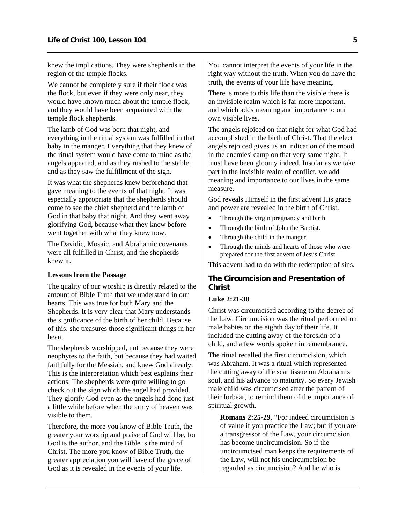<span id="page-6-0"></span>knew the implications. They were shepherds in the region of the temple flocks.

We cannot be completely sure if their flock was the flock, but even if they were only near, they would have known much about the temple flock, and they would have been acquainted with the temple flock shepherds.

The lamb of God was born that night, and everything in the ritual system was fulfilled in that baby in the manger. Everything that they knew of the ritual system would have come to mind as the angels appeared, and as they rushed to the stable, and as they saw the fulfillment of the sign.

It was what the shepherds knew beforehand that gave meaning to the events of that night. It was especially appropriate that the shepherds should come to see the chief shepherd and the lamb of God in that baby that night. And they went away glorifying God, because what they knew before went together with what they knew now.

The Davidic, Mosaic, and Abrahamic covenants were all fulfilled in Christ, and the shepherds knew it.

### **Lessons from the Passage**

The quality of our worship is directly related to the amount of Bible Truth that we understand in our hearts. This was true for both Mary and the Shepherds. It is very clear that Mary understands the significance of the birth of her child. Because of this, she treasures those significant things in her heart.

The shepherds worshipped, not because they were neophytes to the faith, but because they had waited faithfully for the Messiah, and knew God already. This is the interpretation which best explains their actions. The shepherds were quite willing to go check out the sign which the angel had provided. They glorify God even as the angels had done just a little while before when the army of heaven was visible to them.

Therefore, the more you know of Bible Truth, the greater your worship and praise of God will be, for God is the author, and the Bible is the mind of Christ. The more you know of Bible Truth, the greater appreciation you will have of the grace of God as it is revealed in the events of your life.

You cannot interpret the events of your life in the right way without the truth. When you do have the truth, the events of your life have meaning.

There is more to this life than the visible there is an invisible realm which is far more important, and which adds meaning and importance to our own visible lives.

The angels rejoiced on that night for what God had accomplished in the birth of Christ. That the elect angels rejoiced gives us an indication of the mood in the enemies' camp on that very same night. It must have been gloomy indeed. Insofar as we take part in the invisible realm of conflict, we add meaning and importance to our lives in the same measure.

God reveals Himself in the first advent His grace and power are revealed in the birth of Christ.

- Through the virgin pregnancy and birth.
- Through the birth of John the Baptist.
- Through the child in the manger.
- Through the minds and hearts of those who were prepared for the first advent of Jesus Christ.

This advent had to do with the redemption of sins.

### **The Circumcision and Presentation of Christ**

### **Luke 2:21-38**

Christ was circumcised according to the decree of the Law. Circumcision was the ritual performed on male babies on the eighth day of their life. It included the cutting away of the foreskin of a child, and a few words spoken in remembrance.

The ritual recalled the first circumcision, which was Abraham. It was a ritual which represented the cutting away of the scar tissue on Abraham's soul, and his advance to maturity. So every Jewish male child was circumcised after the pattern of their forbear, to remind them of the importance of spiritual growth.

**Romans 2:25-29**, "For indeed circumcision is of value if you practice the Law; but if you are a transgressor of the Law, your circumcision has become uncircumcision. So if the uncircumcised man keeps the requirements of the Law, will not his uncircumcision be regarded as circumcision? And he who is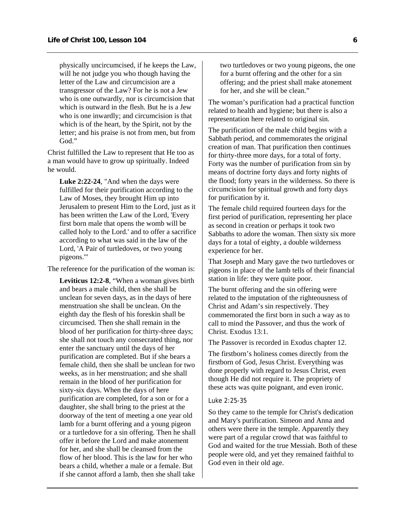physically uncircumcised, if he keeps the Law, will he not judge you who though having the letter of the Law and circumcision are a transgressor of the Law? For he is not a Jew who is one outwardly, nor is circumcision that which is outward in the flesh. But he is a Jew who is one inwardly; and circumcision is that which is of the heart, by the Spirit, not by the letter; and his praise is not from men, but from God."

Christ fulfilled the Law to represent that He too as a man would have to grow up spiritually. Indeed he would.

**Luke 2:22-24**, "And when the days were fulfilled for their purification according to the Law of Moses, they brought Him up into Jerusalem to present Him to the Lord, just as it has been written the Law of the Lord, 'Every first born male that opens the womb will be called holy to the Lord.' and to offer a sacrifice according to what was said in the law of the Lord, 'A Pair of turtledoves, or two young pigeons.'"

The reference for the purification of the woman is:

**Leviticus 12:2-8**, "When a woman gives birth and bears a male child, then she shall be unclean for seven days, as in the days of here menstruation she shall be unclean. On the eighth day the flesh of his foreskin shall be circumcised. Then she shall remain in the blood of her purification for thirty-three days; she shall not touch any consecrated thing, nor enter the sanctuary until the days of her purification are completed. But if she bears a female child, then she shall be unclean for two weeks, as in her menstruation; and she shall remain in the blood of her purification for sixty-six days. When the days of here purification are completed, for a son or for a daughter, she shall bring to the priest at the doorway of the tent of meeting a one year old lamb for a burnt offering and a young pigeon or a turtledove for a sin offering. Then he shall offer it before the Lord and make atonement for her, and she shall be cleansed from the flow of her blood. This is the law for her who bears a child, whether a male or a female. But if she cannot afford a lamb, then she shall take two turtledoves or two young pigeons, the one for a burnt offering and the other for a sin offering; and the priest shall make atonement for her, and she will be clean."

The woman's purification had a practical function related to health and hygiene; but there is also a representation here related to original sin.

The purification of the male child begins with a Sabbath period, and commemorates the original creation of man. That purification then continues for thirty-three more days, for a total of forty. Forty was the number of purification from sin by means of doctrine forty days and forty nights of the flood; forty years in the wilderness. So there is circumcision for spiritual growth and forty days for purification by it.

The female child required fourteen days for the first period of purification, representing her place as second in creation or perhaps it took two Sabbaths to adore the woman. Then sixty six more days for a total of eighty, a double wilderness experience for her.

That Joseph and Mary gave the two turtledoves or pigeons in place of the lamb tells of their financial station in life: they were quite poor.

The burnt offering and the sin offering were related to the imputation of the righteousness of Christ and Adam's sin respectively. They commemorated the first born in such a way as to call to mind the Passover, and thus the work of Christ. Exodus 13:1.

The Passover is recorded in Exodus chapter 12.

The firstborn's holiness comes directly from the firstborn of God, Jesus Christ. Everything was done properly with regard to Jesus Christ, even though He did not require it. The propriety of these acts was quite poignant, and even ironic.

#### Luke 2:25-35

So they came to the temple for Christ's dedication and Mary's purification. Simeon and Anna and others were there in the temple. Apparently they were part of a regular crowd that was faithful to God and waited for the true Messiah. Both of these people were old, and yet they remained faithful to God even in their old age.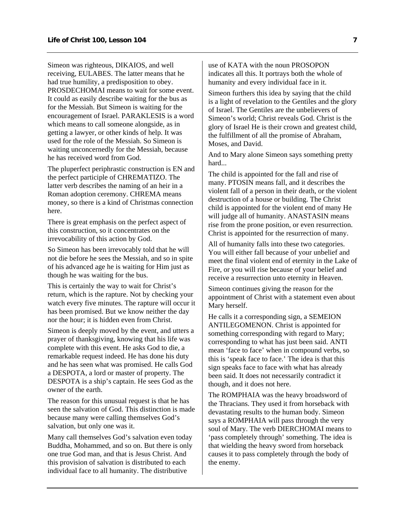Simeon was righteous, DIKAIOS, and well receiving, EULABES. The latter means that he had true humility, a predisposition to obey. PROSDECHOMAI means to wait for some event. It could as easily describe waiting for the bus as for the Messiah. But Simeon is waiting for the encouragement of Israel. PARAKLESIS is a word which means to call someone alongside, as in getting a lawyer, or other kinds of help. It was used for the role of the Messiah. So Simeon is waiting unconcernedly for the Messiah, because he has received word from God.

The pluperfect periphrastic construction is EN and the perfect participle of CHREMATIZO. The latter verb describes the naming of an heir in a Roman adoption ceremony. CHREMA means money, so there is a kind of Christmas connection here.

There is great emphasis on the perfect aspect of this construction, so it concentrates on the irrevocability of this action by God.

So Simeon has been irrevocably told that he will not die before he sees the Messiah, and so in spite of his advanced age he is waiting for Him just as though he was waiting for the bus.

This is certainly the way to wait for Christ's return, which is the rapture. Not by checking your watch every five minutes. The rapture will occur it has been promised. But we know neither the day nor the hour; it is hidden even from Christ.

Simeon is deeply moved by the event, and utters a prayer of thanksgiving, knowing that his life was complete with this event. He asks God to die, a remarkable request indeed. He has done his duty and he has seen what was promised. He calls God a DESPOTA, a lord or master of property. The DESPOTA is a ship's captain. He sees God as the owner of the earth.

The reason for this unusual request is that he has seen the salvation of God. This distinction is made because many were calling themselves God's salvation, but only one was it.

Many call themselves God's salvation even today Buddha, Mohammed, and so on. But there is only one true God man, and that is Jesus Christ. And this provision of salvation is distributed to each individual face to all humanity. The distributive

use of KATA with the noun PROSOPON indicates all this. It portrays both the whole of humanity and every individual face in it.

Simeon furthers this idea by saying that the child is a light of revelation to the Gentiles and the glory of Israel. The Gentiles are the unbelievers of Simeon's world; Christ reveals God. Christ is the glory of Israel He is their crown and greatest child, the fulfillment of all the promise of Abraham, Moses, and David.

And to Mary alone Simeon says something pretty hard...

The child is appointed for the fall and rise of many. PTOSIN means fall, and it describes the violent fall of a person in their death, or the violent destruction of a house or building. The Christ child is appointed for the violent end of many He will judge all of humanity. ANASTASIN means rise from the prone position, or even resurrection. Christ is appointed for the resurrection of many.

All of humanity falls into these two categories. You will either fall because of your unbelief and meet the final violent end of eternity in the Lake of Fire, or you will rise because of your belief and receive a resurrection unto eternity in Heaven.

Simeon continues giving the reason for the appointment of Christ with a statement even about Mary herself.

He calls it a corresponding sign, a SEMEION ANTILEGOMENON. Christ is appointed for something corresponding with regard to Mary; corresponding to what has just been said. ANTI mean 'face to face' when in compound verbs, so this is 'speak face to face.' The idea is that this sign speaks face to face with what has already been said. It does not necessarily contradict it though, and it does not here.

The ROMPHAIA was the heavy broadsword of the Thracians. They used it from horseback with devastating results to the human body. Simeon says a ROMPHAIA will pass through the very soul of Mary. The verb DIERCHOMAI means to 'pass completely through' something. The idea is that wielding the heavy sword from horseback causes it to pass completely through the body of the enemy.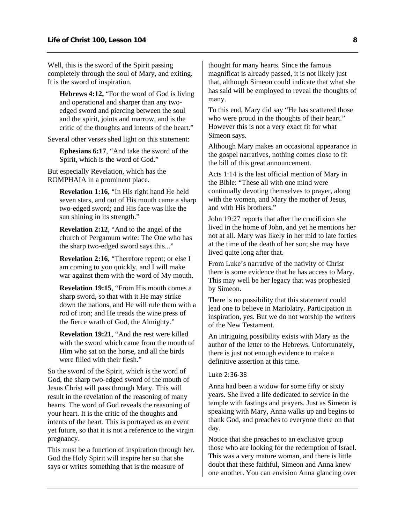Well, this is the sword of the Spirit passing completely through the soul of Mary, and exiting. It is the sword of inspiration.

**Hebrews 4:12,** "For the word of God is living and operational and sharper than any twoedged sword and piercing between the soul and the spirit, joints and marrow, and is the critic of the thoughts and intents of the heart."

Several other verses shed light on this statement:

**Ephesians 6:17**, "And take the sword of the Spirit, which is the word of God."

But especially Revelation, which has the ROMPHAIA in a prominent place.

> **Revelation 1:16**, "In His right hand He held seven stars, and out of His mouth came a sharp two-edged sword; and His face was like the sun shining in its strength."

**Revelation 2:12**, "And to the angel of the church of Pergamum write: The One who has the sharp two-edged sword says this..."

**Revelation 2:16**, "Therefore repent; or else I am coming to you quickly, and I will make war against them with the word of My mouth.

**Revelation 19:15**, "From His mouth comes a sharp sword, so that with it He may strike down the nations, and He will rule them with a rod of iron; and He treads the wine press of the fierce wrath of God, the Almighty."

**Revelation 19:21**, "And the rest were killed with the sword which came from the mouth of Him who sat on the horse, and all the birds were filled with their flesh."

So the sword of the Spirit, which is the word of God, the sharp two-edged sword of the mouth of Jesus Christ will pass through Mary. This will result in the revelation of the reasoning of many hearts. The word of God reveals the reasoning of your heart. It is the critic of the thoughts and intents of the heart. This is portrayed as an event yet future, so that it is not a reference to the virgin pregnancy.

This must be a function of inspiration through her. God the Holy Spirit will inspire her so that she says or writes something that is the measure of

thought for many hearts. Since the famous magnificat is already passed, it is not likely just that, although Simeon could indicate that what she has said will be employed to reveal the thoughts of many.

To this end, Mary did say "He has scattered those who were proud in the thoughts of their heart." However this is not a very exact fit for what Simeon says.

Although Mary makes an occasional appearance in the gospel narratives, nothing comes close to fit the bill of this great announcement.

Acts 1:14 is the last official mention of Mary in the Bible: "These all with one mind were continually devoting themselves to prayer, along with the women, and Mary the mother of Jesus, and with His brothers."

John 19:27 reports that after the crucifixion she lived in the home of John, and yet he mentions her not at all. Mary was likely in her mid to late forties at the time of the death of her son; she may have lived quite long after that.

From Luke's narrative of the nativity of Christ there is some evidence that he has access to Mary. This may well be her legacy that was prophesied by Simeon.

There is no possibility that this statement could lead one to believe in Mariolatry. Participation in inspiration, yes. But we do not worship the writers of the New Testament.

An intriguing possibility exists with Mary as the author of the letter to the Hebrews. Unfortunately, there is just not enough evidence to make a definitive assertion at this time.

## Luke 2:36-38

Anna had been a widow for some fifty or sixty years. She lived a life dedicated to service in the temple with fastings and prayers. Just as Simeon is speaking with Mary, Anna walks up and begins to thank God, and preaches to everyone there on that day.

Notice that she preaches to an exclusive group those who are looking for the redemption of Israel. This was a very mature woman, and there is little doubt that these faithful, Simeon and Anna knew one another. You can envision Anna glancing over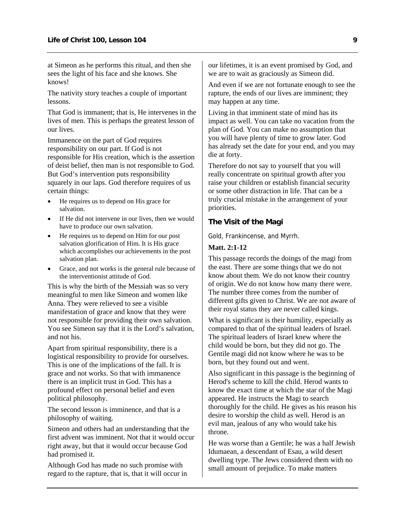<span id="page-10-0"></span>at Simeon as he performs this ritual, and then she sees the light of his face and she knows. She knows!

The nativity story teaches a couple of important lessons.

That God is immanent; that is, He intervenes in the lives of men. This is perhaps the greatest lesson of our lives.

Immanence on the part of God requires responsibility on our part. If God is not responsible for His creation, which is the assertion of deist belief, then man is not responsible to God. But God's intervention puts responsibility squarely in our laps. God therefore requires of us certain things:

- He requires us to depend on His grace for salvation.
- If He did not intervene in our lives, then we would have to produce our own salvation.
- He requires us to depend on Him for our post salvation glorification of Him. It is His grace which accomplishes our achievements in the post salvation plan.
- Grace, and not works is the general rule because of the interventionist attitude of God.

This is why the birth of the Messiah was so very meaningful to men like Simeon and women like Anna. They were relieved to see a visible manifestation of grace and know that they were not responsible for providing their own salvation. You see Simeon say that it is the Lord's salvation, and not his.

Apart from spiritual responsibility, there is a logistical responsibility to provide for ourselves. This is one of the implications of the fall. It is grace and not works. So that with immanence there is an implicit trust in God. This has a profound effect on personal belief and even political philosophy.

The second lesson is imminence, and that is a philosophy of waiting.

Simeon and others had an understanding that the first advent was imminent. Not that it would occur right away, but that it would occur because God had promised it.

Although God has made no such promise with regard to the rapture, that is, that it will occur in our lifetimes, it is an event promised by God, and we are to wait as graciously as Simeon did.

And even if we are not fortunate enough to see the rapture, the ends of our lives are imminent; they may happen at any time.

Living in that imminent state of mind has its impact as well. You can take no vacation from the plan of God. You can make no assumption that you will have plenty of time to grow later. God has already set the date for your end, and you may die at forty.

Therefore do not say to yourself that you will really concentrate on spiritual growth after you raise your children or establish financial security or some other distraction in life. That can be a truly crucial mistake in the arrangement of your priorities.

## **The Visit of the Magi**

Gold, Frankincense, and Myrrh.

#### **Matt. 2:1-12**

This passage records the doings of the magi from the east. There are some things that we do not know about them. We do not know their country of origin. We do not know how many there were. The number three comes from the number of different gifts given to Christ. We are not aware of their royal status they are never called kings.

What is significant is their humility, especially as compared to that of the spiritual leaders of Israel. The spiritual leaders of Israel knew where the child would be born, but they did not go. The Gentile magi did not know where he was to be born, but they found out and went.

Also significant in this passage is the beginning of Herod's scheme to kill the child. Herod wants to know the exact time at which the star of the Magi appeared. He instructs the Magi to search thoroughly for the child. He gives as his reason his desire to worship the child as well. Herod is an evil man, jealous of any who would take his throne.

He was worse than a Gentile; he was a half Jewish Idumaean, a descendant of Esau, a wild desert dwelling type. The Jews considered them with no small amount of prejudice. To make matters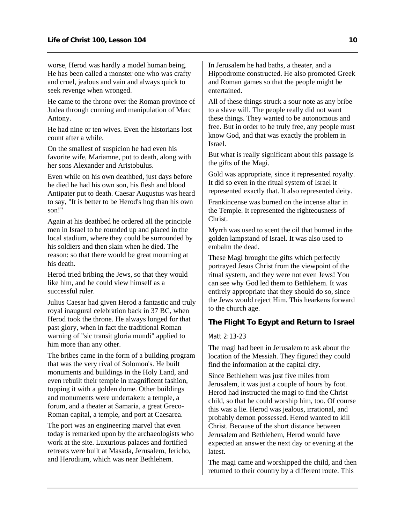<span id="page-11-0"></span>worse, Herod was hardly a model human being. He has been called a monster one who was crafty and cruel, jealous and vain and always quick to seek revenge when wronged.

He came to the throne over the Roman province of Judea through cunning and manipulation of Marc Antony.

He had nine or ten wives. Even the historians lost count after a while.

On the smallest of suspicion he had even his favorite wife, Mariamne, put to death, along with her sons Alexander and Aristobulus.

Even while on his own deathbed, just days before he died he had his own son, his flesh and blood Antipater put to death. Caesar Augustus was heard to say, "It is better to be Herod's hog than his own son!"

Again at his deathbed he ordered all the principle men in Israel to be rounded up and placed in the local stadium, where they could be surrounded by his soldiers and then slain when he died. The reason: so that there would be great mourning at his death.

Herod tried bribing the Jews, so that they would like him, and he could view himself as a successful ruler.

Julius Caesar had given Herod a fantastic and truly royal inaugural celebration back in 37 BC, when Herod took the throne. He always longed for that past glory, when in fact the traditional Roman warning of "sic transit gloria mundi" applied to him more than any other.

The bribes came in the form of a building program that was the very rival of Solomon's. He built monuments and buildings in the Holy Land, and even rebuilt their temple in magnificent fashion, topping it with a golden dome. Other buildings and monuments were undertaken: a temple, a forum, and a theater at Samaria, a great Greco-Roman capital, a temple, and port at Caesarea.

The port was an engineering marvel that even today is remarked upon by the archaeologists who work at the site. Luxurious palaces and fortified retreats were built at Masada, Jerusalem, Jericho, and Herodium, which was near Bethlehem.

In Jerusalem he had baths, a theater, and a Hippodrome constructed. He also promoted Greek and Roman games so that the people might be entertained.

All of these things struck a sour note as any bribe to a slave will. The people really did not want these things. They wanted to be autonomous and free. But in order to be truly free, any people must know God, and that was exactly the problem in Israel.

But what is really significant about this passage is the gifts of the Magi.

Gold was appropriate, since it represented royalty. It did so even in the ritual system of Israel it represented exactly that. It also represented deity.

Frankincense was burned on the incense altar in the Temple. It represented the righteousness of Christ.

Myrrh was used to scent the oil that burned in the golden lampstand of Israel. It was also used to embalm the dead.

These Magi brought the gifts which perfectly portrayed Jesus Christ from the viewpoint of the ritual system, and they were not even Jews! You can see why God led them to Bethlehem. It was entirely appropriate that they should do so, since the Jews would reject Him. This hearkens forward to the church age.

## **The Flight To Egypt and Return to Israel**

Matt 2:13-23

The magi had been in Jerusalem to ask about the location of the Messiah. They figured they could find the information at the capital city.

Since Bethlehem was just five miles from Jerusalem, it was just a couple of hours by foot. Herod had instructed the magi to find the Christ child, so that he could worship him, too. Of course this was a lie. Herod was jealous, irrational, and probably demon possessed. Herod wanted to kill Christ. Because of the short distance between Jerusalem and Bethlehem, Herod would have expected an answer the next day or evening at the latest.

The magi came and worshipped the child, and then returned to their country by a different route. This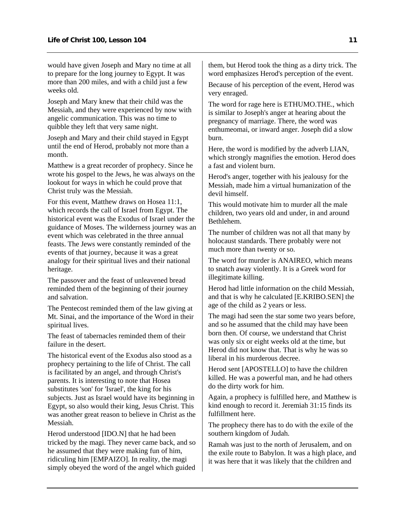would have given Joseph and Mary no time at all to prepare for the long journey to Egypt. It was more than 200 miles, and with a child just a few weeks old.

Joseph and Mary knew that their child was the Messiah, and they were experienced by now with angelic communication. This was no time to quibble they left that very same night.

Joseph and Mary and their child stayed in Egypt until the end of Herod, probably not more than a month.

Matthew is a great recorder of prophecy. Since he wrote his gospel to the Jews, he was always on the lookout for ways in which he could prove that Christ truly was the Messiah.

For this event, Matthew draws on Hosea 11:1, which records the call of Israel from Egypt. The historical event was the Exodus of Israel under the guidance of Moses. The wilderness journey was an event which was celebrated in the three annual feasts. The Jews were constantly reminded of the events of that journey, because it was a great analogy for their spiritual lives and their national heritage.

The passover and the feast of unleavened bread reminded them of the beginning of their journey and salvation.

The Pentecost reminded them of the law giving at Mt. Sinai, and the importance of the Word in their spiritual lives.

The feast of tabernacles reminded them of their failure in the desert.

The historical event of the Exodus also stood as a prophecy pertaining to the life of Christ. The call is facilitated by an angel, and through Christ's parents. It is interesting to note that Hosea substitutes 'son' for 'Israel', the king for his subjects. Just as Israel would have its beginning in Egypt, so also would their king, Jesus Christ. This was another great reason to believe in Christ as the Messiah.

Herod understood [IDO.N] that he had been tricked by the magi. They never came back, and so he assumed that they were making fun of him, ridiculing him [EMPAIZO]. In reality, the magi simply obeyed the word of the angel which guided them, but Herod took the thing as a dirty trick. The word emphasizes Herod's perception of the event.

Because of his perception of the event, Herod was very enraged.

The word for rage here is ETHUMO.THE., which is similar to Joseph's anger at hearing about the pregnancy of marriage. There, the word was enthumeomai, or inward anger. Joseph did a slow burn.

Here, the word is modified by the adverb LIAN, which strongly magnifies the emotion. Herod does a fast and violent burn.

Herod's anger, together with his jealousy for the Messiah, made him a virtual humanization of the devil himself.

This would motivate him to murder all the male children, two years old and under, in and around Bethlehem.

The number of children was not all that many by holocaust standards. There probably were not much more than twenty or so.

The word for murder is ANAIREO, which means to snatch away violently. It is a Greek word for illegitimate killing.

Herod had little information on the child Messiah, and that is why he calculated [E.KRIBO.SEN] the age of the child as 2 years or less.

The magi had seen the star some two years before, and so he assumed that the child may have been born then. Of course, we understand that Christ was only six or eight weeks old at the time, but Herod did not know that. That is why he was so liberal in his murderous decree.

Herod sent [APOSTELLO] to have the children killed. He was a powerful man, and he had others do the dirty work for him.

Again, a prophecy is fulfilled here, and Matthew is kind enough to record it. Jeremiah 31:15 finds its fulfillment here.

The prophecy there has to do with the exile of the southern kingdom of Judah.

Ramah was just to the north of Jerusalem, and on the exile route to Babylon. It was a high place, and it was here that it was likely that the children and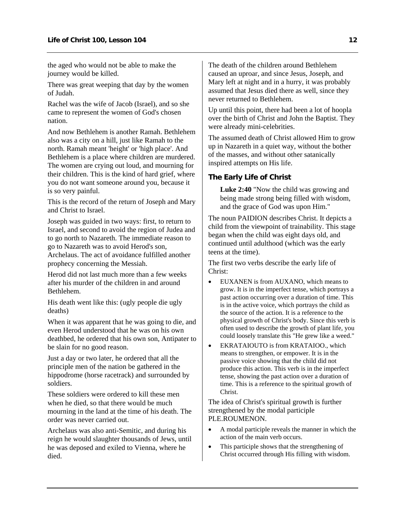<span id="page-13-0"></span>the aged who would not be able to make the journey would be killed.

There was great weeping that day by the women of Judah.

Rachel was the wife of Jacob (Israel), and so she came to represent the women of God's chosen nation.

And now Bethlehem is another Ramah. Bethlehem also was a city on a hill, just like Ramah to the north. Ramah meant 'height' or 'high place'. And Bethlehem is a place where children are murdered. The women are crying out loud, and mourning for their children. This is the kind of hard grief, where you do not want someone around you, because it is so very painful.

This is the record of the return of Joseph and Mary and Christ to Israel.

Joseph was guided in two ways: first, to return to Israel, and second to avoid the region of Judea and to go north to Nazareth. The immediate reason to go to Nazareth was to avoid Herod's son,

Archelaus. The act of avoidance fulfilled another prophecy concerning the Messiah.

Herod did not last much more than a few weeks after his murder of the children in and around Bethlehem.

His death went like this: (ugly people die ugly deaths)

When it was apparent that he was going to die, and even Herod understood that he was on his own deathbed, he ordered that his own son, Antipater to be slain for no good reason.

Just a day or two later, he ordered that all the principle men of the nation be gathered in the hippodrome (horse racetrack) and surrounded by soldiers.

These soldiers were ordered to kill these men when he died, so that there would be much mourning in the land at the time of his death. The order was never carried out.

Archelaus was also anti-Semitic, and during his reign he would slaughter thousands of Jews, until he was deposed and exiled to Vienna, where he died.

The death of the children around Bethlehem caused an uproar, and since Jesus, Joseph, and Mary left at night and in a hurry, it was probably assumed that Jesus died there as well, since they never returned to Bethlehem.

Up until this point, there had been a lot of hoopla over the birth of Christ and John the Baptist. They were already mini-celebrities.

The assumed death of Christ allowed Him to grow up in Nazareth in a quiet way, without the bother of the masses, and without other satanically inspired attempts on His life.

## **The Early Life of Christ**

**Luke 2:40** "Now the child was growing and being made strong being filled with wisdom, and the grace of God was upon Him."

The noun PAIDION describes Christ. It depicts a child from the viewpoint of trainability. This stage began when the child was eight days old, and continued until adulthood (which was the early teens at the time).

The first two verbs describe the early life of Christ:

- EUXANEN is from AUXANO, which means to grow. It is in the imperfect tense, which portrays a past action occurring over a duration of time. This is in the active voice, which portrays the child as the source of the action. It is a reference to the physical growth of Christ's body. Since this verb is often used to describe the growth of plant life, you could loosely translate this "He grew like a weed."
- EKRATAIOUTO is from KRATAIOO., which means to strengthen, or empower. It is in the passive voice showing that the child did not produce this action. This verb is in the imperfect tense, showing the past action over a duration of time. This is a reference to the spiritual growth of Christ.

The idea of Christ's spiritual growth is further strengthened by the modal participle PLE.ROUMENON.

- A modal participle reveals the manner in which the action of the main verb occurs.
- This participle shows that the strengthening of Christ occurred through His filling with wisdom.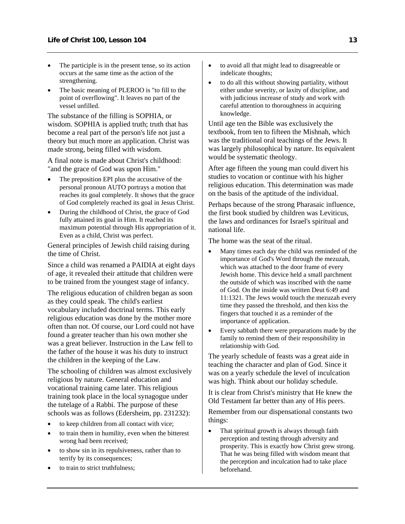- The participle is in the present tense, so its action occurs at the same time as the action of the strengthening.
- The basic meaning of PLEROO is "to fill to the point of overflowing". It leaves no part of the vessel unfilled.

The substance of the filling is SOPHIA, or wisdom. SOPHIA is applied truth; truth that has become a real part of the person's life not just a theory but much more an application. Christ was made strong, being filled with wisdom.

A final note is made about Christ's childhood: "and the grace of God was upon Him."

- The preposition EPI plus the accusative of the personal pronoun AUTO portrays a motion that reaches its goal completely. It shows that the grace of God completely reached its goal in Jesus Christ.
- During the childhood of Christ, the grace of God fully attained its goal in Him. It reached its maximum potential through His appropriation of it. Even as a child, Christ was perfect.

General principles of Jewish child raising during the time of Christ.

Since a child was renamed a PAIDIA at eight days of age, it revealed their attitude that children were to be trained from the youngest stage of infancy.

The religious education of children began as soon as they could speak. The child's earliest vocabulary included doctrinal terms. This early religious education was done by the mother more often than not. Of course, our Lord could not have found a greater teacher than his own mother she was a great believer. Instruction in the Law fell to the father of the house it was his duty to instruct the children in the keeping of the Law.

The schooling of children was almost exclusively religious by nature. General education and vocational training came later. This religious training took place in the local synagogue under the tutelage of a Rabbi. The purpose of these schools was as follows (Edersheim, pp. 231232):

- to keep children from all contact with vice;
- to train them in humility, even when the bitterest wrong had been received;
- to show sin in its repulsiveness, rather than to terrify by its consequences;
- to train to strict truthfulness;
- to avoid all that might lead to disagreeable or indelicate thoughts;
- to do all this without showing partiality, without either undue severity, or laxity of discipline, and with judicious increase of study and work with careful attention to thoroughness in acquiring knowledge.

Until age ten the Bible was exclusively the textbook, from ten to fifteen the Mishnah, which was the traditional oral teachings of the Jews. It was largely philosophical by nature. Its equivalent would be systematic theology.

After age fifteen the young man could divert his studies to vocation or continue with his higher religious education. This determination was made on the basis of the aptitude of the individual.

Perhaps because of the strong Pharasaic influence, the first book studied by children was Leviticus, the laws and ordinances for Israel's spiritual and national life.

The home was the seat of the ritual.

- Many times each day the child was reminded of the importance of God's Word through the mezuzah, which was attached to the door frame of every Jewish home. This device held a small parchment the outside of which was inscribed with the name of God. On the inside was written Deut 6:49 and 11:1321. The Jews would touch the mezuzah every time they passed the threshold, and then kiss the fingers that touched it as a reminder of the importance of application.
- Every sabbath there were preparations made by the family to remind them of their responsibility in relationship with God.

The yearly schedule of feasts was a great aide in teaching the character and plan of God. Since it was on a yearly schedule the level of inculcation was high. Think about our holiday schedule.

It is clear from Christ's ministry that He knew the Old Testament far better than any of His peers.

Remember from our dispensational constants two things:

That spiritual growth is always through faith perception and testing through adversity and prosperity. This is exactly how Christ grew strong. That he was being filled with wisdom meant that the perception and inculcation had to take place beforehand.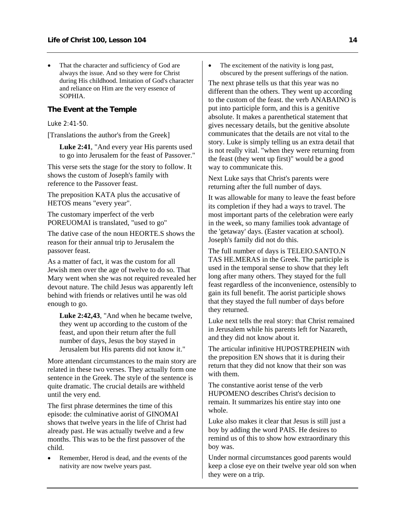<span id="page-15-0"></span>That the character and sufficiency of God are always the issue. And so they were for Christ during His childhood. Imitation of God's character and reliance on Him are the very essence of SOPHIA.

## **The Event at the Temple**

#### Luke 2:41-50.

[Translations the author's from the Greek]

**Luke 2:41**, "And every year His parents used to go into Jerusalem for the feast of Passover."

This verse sets the stage for the story to follow. It shows the custom of Joseph's family with reference to the Passover feast.

The preposition KATA plus the accusative of HETOS means "every year".

The customary imperfect of the verb POREUOMAI is translated, "used to go"

The dative case of the noun HEORTE.S shows the reason for their annual trip to Jerusalem the passover feast.

As a matter of fact, it was the custom for all Jewish men over the age of twelve to do so. That Mary went when she was not required revealed her devout nature. The child Jesus was apparently left behind with friends or relatives until he was old enough to go.

**Luke 2:42,43**, "And when he became twelve, they went up according to the custom of the feast, and upon their return after the full number of days, Jesus the boy stayed in Jerusalem but His parents did not know it."

More attendant circumstances to the main story are related in these two verses. They actually form one sentence in the Greek. The style of the sentence is quite dramatic. The crucial details are withheld until the very end.

The first phrase determines the time of this episode: the culminative aorist of GINOMAI shows that twelve years in the life of Christ had already past. He was actually twelve and a few months. This was to be the first passover of the child.

Remember, Herod is dead, and the events of the nativity are now twelve years past.

• The excitement of the nativity is long past, obscured by the present sufferings of the nation.

The next phrase tells us that this year was no different than the others. They went up according to the custom of the feast. the verb ANABAINO is put into participle form, and this is a genitive absolute. It makes a parenthetical statement that gives necessary details, but the genitive absolute communicates that the details are not vital to the story. Luke is simply telling us an extra detail that is not really vital. "when they were returning from the feast (they went up first)" would be a good way to communicate this.

Next Luke says that Christ's parents were returning after the full number of days.

It was allowable for many to leave the feast before its completion if they had a ways to travel. The most important parts of the celebration were early in the week, so many families took advantage of the 'getaway' days. (Easter vacation at school). Joseph's family did not do this.

The full number of days is TELEIO.SANTO.N TAS HE.MERAS in the Greek. The participle is used in the temporal sense to show that they left long after many others. They stayed for the full feast regardless of the inconvenience, ostensibly to gain its full benefit. The aorist participle shows that they stayed the full number of days before they returned.

Luke next tells the real story: that Christ remained in Jerusalem while his parents left for Nazareth, and they did not know about it.

The articular infinitive HUPOSTREPHEIN with the preposition EN shows that it is during their return that they did not know that their son was with them.

The constantive aorist tense of the verb HUPOMENO describes Christ's decision to remain. It summarizes his entire stay into one whole.

Luke also makes it clear that Jesus is still just a boy by adding the word PAIS. He desires to remind us of this to show how extraordinary this boy was.

Under normal circumstances good parents would keep a close eye on their twelve year old son when they were on a trip.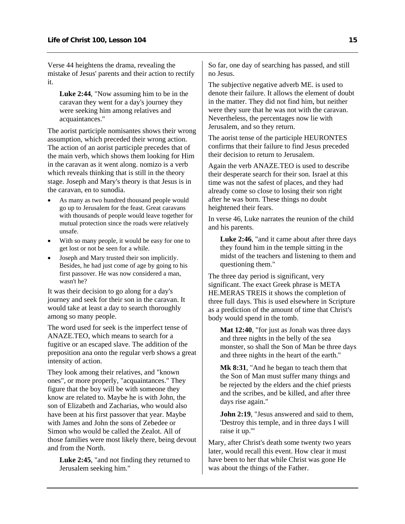Verse 44 heightens the drama, revealing the mistake of Jesus' parents and their action to rectify it.

**Luke 2:44**, "Now assuming him to be in the caravan they went for a day's journey they were seeking him among relatives and acquaintances."

The aorist participle nomisantes shows their wrong assumption, which preceded their wrong action. The action of an aorist participle precedes that of the main verb, which shows them looking for Him in the caravan as it went along. nomizo is a verb which reveals thinking that is still in the theory stage. Joseph and Mary's theory is that Jesus is in the caravan, en to sunodia.

- As many as two hundred thousand people would go up to Jerusalem for the feast. Great caravans with thousands of people would leave together for mutual protection since the roads were relatively unsafe.
- With so many people, it would be easy for one to get lost or not be seen for a while.
- Joseph and Mary trusted their son implicitly. Besides, he had just come of age by going to his first passover. He was now considered a man, wasn't he?

It was their decision to go along for a day's journey and seek for their son in the caravan. It would take at least a day to search thoroughly among so many people.

The word used for seek is the imperfect tense of ANAZE.TEO, which means to search for a fugitive or an escaped slave. The addition of the preposition ana onto the regular verb shows a great intensity of action.

They look among their relatives, and "known ones", or more properly, "acquaintances." They figure that the boy will be with someone they know are related to. Maybe he is with John, the son of Elizabeth and Zacharias, who would also have been at his first passover that year. Maybe with James and John the sons of Zebedee or Simon who would be called the Zealot. All of those families were most likely there, being devout and from the North.

**Luke 2:45**, "and not finding they returned to Jerusalem seeking him."

So far, one day of searching has passed, and still no Jesus.

The subjective negative adverb ME. is used to denote their failure. It allows the element of doubt in the matter. They did not find him, but neither were they sure that he was not with the caravan. Nevertheless, the percentages now lie with Jerusalem, and so they return.

The aorist tense of the participle HEURONTES confirms that their failure to find Jesus preceded their decision to return to Jerusalem.

Again the verb ANAZE.TEO is used to describe their desperate search for their son. Israel at this time was not the safest of places, and they had already come so close to losing their son right after he was born. These things no doubt heightened their fears.

In verse 46, Luke narrates the reunion of the child and his parents.

**Luke 2:46**, "and it came about after three days they found him in the temple sitting in the midst of the teachers and listening to them and questioning them."

The three day period is significant, very significant. The exact Greek phrase is META HE.MERAS TREIS it shows the completion of three full days. This is used elsewhere in Scripture as a prediction of the amount of time that Christ's body would spend in the tomb.

**Mat 12:40**, "for just as Jonah was three days and three nights in the belly of the sea monster, so shall the Son of Man be three days and three nights in the heart of the earth."

**Mk 8:31**, "And he began to teach them that the Son of Man must suffer many things and be rejected by the elders and the chief priests and the scribes, and be killed, and after three days rise again."

**John 2:19**, "Jesus answered and said to them, 'Destroy this temple, and in three days I will raise it up.'"

Mary, after Christ's death some twenty two years later, would recall this event. How clear it must have been to her that while Christ was gone He was about the things of the Father.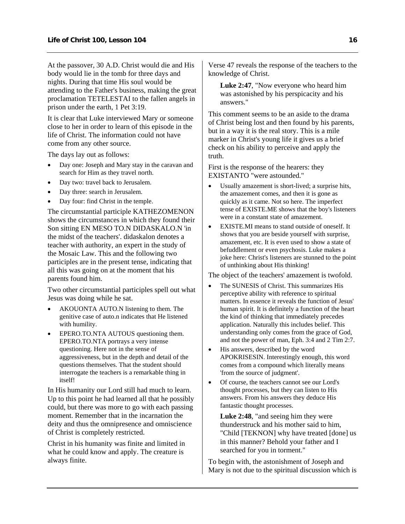At the passover, 30 A.D. Christ would die and His body would lie in the tomb for three days and nights. During that time His soul would be attending to the Father's business, making the great proclamation TETELESTAI to the fallen angels in prison under the earth, 1 Pet 3:19.

It is clear that Luke interviewed Mary or someone close to her in order to learn of this episode in the life of Christ. The information could not have come from any other source.

The days lay out as follows:

- Day one: Joseph and Mary stay in the caravan and search for Him as they travel north.
- Day two: travel back to Jerusalem.
- Day three: search in Jerusalem.
- Day four: find Christ in the temple.

The circumstantial participle KATHEZOMENON shows the circumstances in which they found their Son sitting EN MESO TO.N DIDASKALO.N 'in the midst of the teachers'. didaskalon denotes a teacher with authority, an expert in the study of the Mosaic Law. This and the following two participles are in the present tense, indicating that all this was going on at the moment that his parents found him.

Two other circumstantial participles spell out what Jesus was doing while he sat.

- AKOUONTA AUTO.N listening to them. The genitive case of auto.n indicates that He listened with humility.
- EPERO.TO.NTA AUTOUS questioning them. EPERO.TO.NTA portrays a very intense questioning. Here not in the sense of aggressiveness, but in the depth and detail of the questions themselves. That the student should interrogate the teachers is a remarkable thing in itself!

In His humanity our Lord still had much to learn. Up to this point he had learned all that he possibly could, but there was more to go with each passing moment. Remember that in the incarnation the deity and thus the omnipresence and omniscience of Christ is completely restricted.

Christ in his humanity was finite and limited in what he could know and apply. The creature is always finite.

Verse 47 reveals the response of the teachers to the knowledge of Christ.

**Luke 2:47**, "Now everyone who heard him was astonished by his perspicacity and his answers."

This comment seems to be an aside to the drama of Christ being lost and then found by his parents, but in a way it is the real story. This is a mile marker in Christ's young life it gives us a brief check on his ability to perceive and apply the truth.

First is the response of the hearers: they EXISTANTO "were astounded."

- Usually amazement is short-lived; a surprise hits, the amazement comes, and then it is gone as quickly as it came. Not so here. The imperfect tense of EXISTE.ME shows that the boy's listeners were in a constant state of amazement.
- EXISTE.MI means to stand outside of oneself. It shows that you are beside yourself with surprise, amazement, etc. It is even used to show a state of befuddlement or even psychosis. Luke makes a joke here: Christ's listeners are stunned to the point of unthinking about His thinking!

The object of the teachers' amazement is twofold.

- The SUNESIS of Christ. This summarizes His perceptive ability with reference to spiritual matters. In essence it reveals the function of Jesus' human spirit. It is definitely a function of the heart the kind of thinking that immediately precedes application. Naturally this includes belief. This understanding only comes from the grace of God, and not the power of man, Eph. 3:4 and 2 Tim 2:7.
- His answers, described by the word APOKRISESIN. Interestingly enough, this word comes from a compound which literally means 'from the source of judgment'.
- Of course, the teachers cannot see our Lord's thought processes, but they can listen to His answers. From his answers they deduce His fantastic thought processes.

**Luke 2:48**, "and seeing him they were thunderstruck and his mother said to him, "Child [TEKNON] why have treated [done] us in this manner? Behold your father and I searched for you in torment."

To begin with, the astonishment of Joseph and Mary is not due to the spiritual discussion which is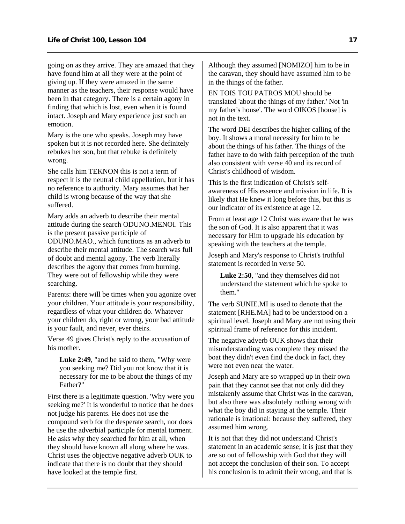going on as they arrive. They are amazed that they have found him at all they were at the point of giving up. If they were amazed in the same manner as the teachers, their response would have been in that category. There is a certain agony in finding that which is lost, even when it is found intact. Joseph and Mary experience just such an emotion.

Mary is the one who speaks. Joseph may have spoken but it is not recorded here. She definitely rebukes her son, but that rebuke is definitely wrong.

She calls him TEKNON this is not a term of respect it is the neutral child appellation, but it has no reference to authority. Mary assumes that her child is wrong because of the way that she suffered.

Mary adds an adverb to describe their mental attitude during the search ODUNO.MENOI. This is the present passive participle of ODUNO.MAO., which functions as an adverb to describe their mental attitude. The search was full of doubt and mental agony. The verb literally describes the agony that comes from burning. They were out of fellowship while they were searching.

Parents: there will be times when you agonize over your children. Your attitude is your responsibility, regardless of what your children do. Whatever your children do, right or wrong, your bad attitude is your fault, and never, ever theirs.

Verse 49 gives Christ's reply to the accusation of his mother.

**Luke 2:49**, "and he said to them, "Why were you seeking me? Did you not know that it is necessary for me to be about the things of my Father?"

First there is a legitimate question. 'Why were you seeking me?' It is wonderful to notice that he does not judge his parents. He does not use the compound verb for the desperate search, nor does he use the adverbial participle for mental torment. He asks why they searched for him at all, when they should have known all along where he was. Christ uses the objective negative adverb OUK to indicate that there is no doubt that they should have looked at the temple first.

Although they assumed [NOMIZO] him to be in the caravan, they should have assumed him to be in the things of the father.

EN TOIS TOU PATROS MOU should be translated 'about the things of my father.' Not 'in my father's house'. The word OIKOS [house] is not in the text.

The word DEI describes the higher calling of the boy. It shows a moral necessity for him to be about the things of his father. The things of the father have to do with faith perception of the truth also consistent with verse 40 and its record of Christ's childhood of wisdom.

This is the first indication of Christ's selfawareness of His essence and mission in life. It is likely that He knew it long before this, but this is our indicator of its existence at age 12.

From at least age 12 Christ was aware that he was the son of God. It is also apparent that it was necessary for Him to upgrade his education by speaking with the teachers at the temple.

Joseph and Mary's response to Christ's truthful statement is recorded in verse 50.

**Luke 2:50**, "and they themselves did not understand the statement which he spoke to them."

The verb SUNIE.MI is used to denote that the statement [RHE.MA] had to be understood on a spiritual level. Joseph and Mary are not using their spiritual frame of reference for this incident.

The negative adverb OUK shows that their misunderstanding was complete they missed the boat they didn't even find the dock in fact, they were not even near the water.

Joseph and Mary are so wrapped up in their own pain that they cannot see that not only did they mistakenly assume that Christ was in the caravan, but also there was absolutely nothing wrong with what the boy did in staying at the temple. Their rationale is irrational: because they suffered, they assumed him wrong.

It is not that they did not understand Christ's statement in an academic sense; it is just that they are so out of fellowship with God that they will not accept the conclusion of their son. To accept his conclusion is to admit their wrong, and that is